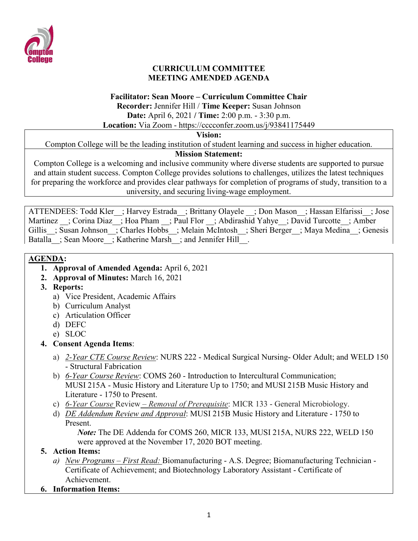

#### **CURRICULUM COMMITTEE MEETING AMENDED AGENDA**

#### **Facilitator: Sean Moore – Curriculum Committee Chair**

**Recorder:** Jennifer Hill / **Time Keeper:** Susan Johnson

**Date:** April 6, 2021 **/ Time:** 2:00 p.m. - 3:30 p.m.

**Location:** Via Zoom - https://cccconfer.zoom.us/j/93841175449

#### **Vision:**

Compton College will be the leading institution of student learning and success in higher education.

# **Mission Statement:**

Compton College is a welcoming and inclusive community where diverse students are supported to pursue and attain student success. Compton College provides solutions to challenges, utilizes the latest techniques for preparing the workforce and provides clear pathways for completion of programs of study, transition to a university, and securing living-wage employment.

ATTENDEES: Todd Kler ; Harvey Estrada ; Brittany Olayele ; Don Mason ; Hassan Elfarissi ; Jose Martinez ; Corina Diaz ; Hoa Pham ; Paul Flor ; Abdirashid Yahye ; David Turcotte ; Amber Gillis ; Susan Johnson ; Charles Hobbs ; Melain McIntosh ; Sheri Berger ; Maya Medina ; Genesis Batalla ; Sean Moore ; Katherine Marsh ; and Jennifer Hill .

# **AGENDA:**

- **1. Approval of Amended Agenda:** April 6, 2021
- **2. Approval of Minutes:** March 16, 2021
- **3. Reports:** 
	- a) Vice President, Academic Affairs
	- b) Curriculum Analyst
	- c) Articulation Officer
	- d) DEFC
	- e) SLOC
- **4. Consent Agenda Items**:
	- a) *2-Year CTE Course Review*: NURS 222 Medical Surgical Nursing- Older Adult; and WELD 150 - Structural Fabrication
	- b) *6-Year Course Review*: COMS 260 Introduction to Intercultural Communication; MUSI 215A - Music History and Literature Up to 1750; and MUSI 215B Music History and Literature - 1750 to Present.
	- c) *6-Year Course* Review *– Removal of Prerequisite*: MICR 133 General Microbiology.
	- d) *DE Addendum Review and Approval*: MUSI 215B Music History and Literature 1750 to Present.

*Note:* The DE Addenda for COMS 260, MICR 133, MUSI 215A, NURS 222, WELD 150 were approved at the November 17, 2020 BOT meeting.

# **5. Action Items:**

- *a) New Programs – First Read:* Biomanufacturing A.S. Degree; Biomanufacturing Technician Certificate of Achievement; and Biotechnology Laboratory Assistant - Certificate of Achievement.
- **6. Information Items:**